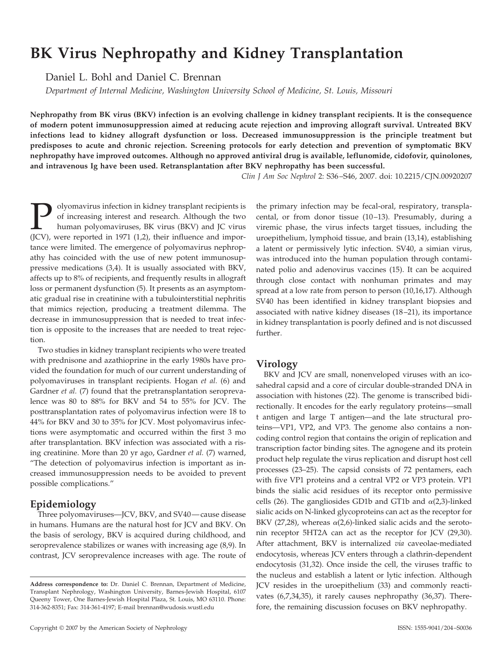# **BK Virus Nephropathy and Kidney Transplantation**

Daniel L. Bohl and Daniel C. Brennan

*Department of Internal Medicine, Washington University School of Medicine, St. Louis, Missouri*

**Nephropathy from BK virus (BKV) infection is an evolving challenge in kidney transplant recipients. It is the consequence of modern potent immunosuppression aimed at reducing acute rejection and improving allograft survival. Untreated BKV infections lead to kidney allograft dysfunction or loss. Decreased immunosuppression is the principle treatment but predisposes to acute and chronic rejection. Screening protocols for early detection and prevention of symptomatic BKV nephropathy have improved outcomes. Although no approved antiviral drug is available, leflunomide, cidofovir, quinolones, and intravenous Ig have been used. Retransplantation after BKV nephropathy has been successful.**

*Clin J Am Soc Nephrol* 2: S36 –S46, 2007. doi: 10.2215/CJN.00920207

**Polyomavirus infection in kidney transplant recipients is** of increasing interest and research. Although the two human polyomaviruses, BK virus (BKV) and JC virus (JCV), were reported in 1971 (1,2), their influence and im of increasing interest and research. Although the two human polyomaviruses, BK virus (BKV) and JC virus tance were limited. The emergence of polyomavirus nephropathy has coincided with the use of new potent immunosuppressive medications (3,4). It is usually associated with BKV, affects up to 8% of recipients, and frequently results in allograft loss or permanent dysfunction (5). It presents as an asymptomatic gradual rise in creatinine with a tubulointerstitial nephritis that mimics rejection, producing a treatment dilemma. The decrease in immunosuppression that is needed to treat infection is opposite to the increases that are needed to treat rejection.

Two studies in kidney transplant recipients who were treated with prednisone and azathioprine in the early 1980s have provided the foundation for much of our current understanding of polyomaviruses in transplant recipients. Hogan *et al.* (6) and Gardner *et al.* (7) found that the pretransplantation seroprevalence was 80 to 88% for BKV and 54 to 55% for JCV. The posttransplantation rates of polyomavirus infection were 18 to 44% for BKV and 30 to 35% for JCV. Most polyomavirus infections were asymptomatic and occurred within the first 3 mo after transplantation. BKV infection was associated with a rising creatinine. More than 20 yr ago, Gardner *et al.* (7) warned, "The detection of polyomavirus infection is important as increased immunosuppression needs to be avoided to prevent possible complications."

# **Epidemiology**

Three polyomaviruses—JCV, BKV, and SV40— cause disease in humans. Humans are the natural host for JCV and BKV. On the basis of serology, BKV is acquired during childhood, and seroprevalence stabilizes or wanes with increasing age (8,9). In contrast, JCV seroprevalence increases with age. The route of

the primary infection may be fecal-oral, respiratory, transplacental, or from donor tissue (10 –13). Presumably, during a viremic phase, the virus infects target tissues, including the uroepithelium, lymphoid tissue, and brain (13,14), establishing a latent or permissively lytic infection. SV40, a simian virus, was introduced into the human population through contaminated polio and adenovirus vaccines (15). It can be acquired through close contact with nonhuman primates and may spread at a low rate from person to person (10,16,17). Although SV40 has been identified in kidney transplant biopsies and associated with native kidney diseases (18 –21), its importance in kidney transplantation is poorly defined and is not discussed further.

# **Virology**

BKV and JCV are small, nonenveloped viruses with an icosahedral capsid and a core of circular double-stranded DNA in association with histones (22). The genome is transcribed bidirectionally. It encodes for the early regulatory proteins—small t antigen and large T antigen—and the late structural proteins—VP1, VP2, and VP3. The genome also contains a noncoding control region that contains the origin of replication and transcription factor binding sites. The agnogene and its protein product help regulate the virus replication and disrupt host cell processes (23–25). The capsid consists of 72 pentamers, each with five VP1 proteins and a central VP2 or VP3 protein. VP1 binds the sialic acid residues of its receptor onto permissive cells (26). The gangliosides GD1b and GT1b and  $\alpha$ (2,3)-linked sialic acids on N-linked glycoproteins can act as the receptor for BKV (27,28), whereas  $\alpha$ (2,6)-linked sialic acids and the serotonin receptor 5HT2A can act as the receptor for JCV (29,30). After attachment, BKV is internalized *via* caveolae-mediated endocytosis, whereas JCV enters through a clathrin-dependent endocytosis (31,32). Once inside the cell, the viruses traffic to the nucleus and establish a latent or lytic infection. Although JCV resides in the uroepithelium (33) and commonly reactivates (6,7,34,35), it rarely causes nephropathy (36,37). Therefore, the remaining discussion focuses on BKV nephropathy.

**Address correspondence to:** Dr. Daniel C. Brennan, Department of Medicine, Transplant Nephrology, Washington University, Barnes-Jewish Hospital, 6107 Queeny Tower, One Barnes-Jewish Hospital Plaza, St. Louis, MO 63110. Phone: 314-362-8351; Fax: 314-361-4197; E-mail brennan@wudosis.wustl.edu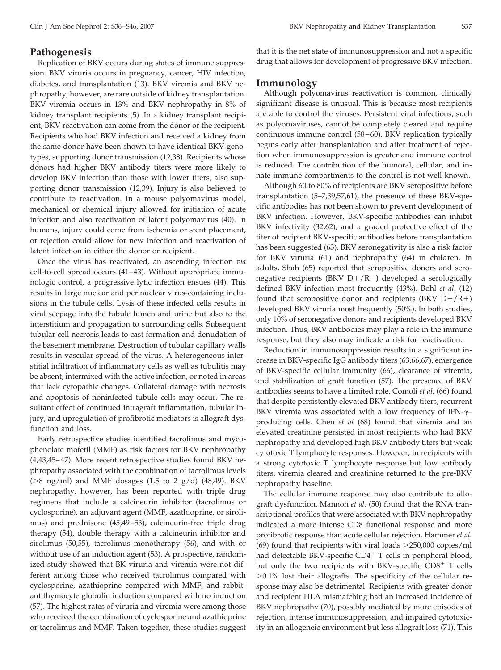## **Pathogenesis**

Replication of BKV occurs during states of immune suppression. BKV viruria occurs in pregnancy, cancer, HIV infection, diabetes, and transplantation (13). BKV viremia and BKV nephropathy, however, are rare outside of kidney transplantation. BKV viremia occurs in 13% and BKV nephropathy in 8% of kidney transplant recipients (5). In a kidney transplant recipient, BKV reactivation can come from the donor or the recipient. Recipients who had BKV infection and received a kidney from the same donor have been shown to have identical BKV genotypes, supporting donor transmission (12,38). Recipients whose donors had higher BKV antibody titers were more likely to develop BKV infection than those with lower titers, also supporting donor transmission (12,39). Injury is also believed to contribute to reactivation. In a mouse polyomavirus model, mechanical or chemical injury allowed for initiation of acute infection and also reactivation of latent polyomavirus (40). In humans, injury could come from ischemia or stent placement, or rejection could allow for new infection and reactivation of latent infection in either the donor or recipient.

Once the virus has reactivated, an ascending infection *via* cell-to-cell spread occurs (41– 43). Without appropriate immunologic control, a progressive lytic infection ensues (44). This results in large nuclear and perinuclear virus-containing inclusions in the tubule cells. Lysis of these infected cells results in viral seepage into the tubule lumen and urine but also to the interstitium and propagation to surrounding cells. Subsequent tubular cell necrosis leads to cast formation and denudation of the basement membrane. Destruction of tubular capillary walls results in vascular spread of the virus. A heterogeneous interstitial infiltration of inflammatory cells as well as tubulitis may be absent, intermixed with the active infection, or noted in areas that lack cytopathic changes. Collateral damage with necrosis and apoptosis of noninfected tubule cells may occur. The resultant effect of continued intragraft inflammation, tubular injury, and upregulation of profibrotic mediators is allograft dysfunction and loss.

Early retrospective studies identified tacrolimus and mycophenolate mofetil (MMF) as risk factors for BKV nephropathy (4,43,45– 47). More recent retrospective studies found BKV nephropathy associated with the combination of tacrolimus levels  $($ >8 ng/ml) and MMF dosages (1.5 to 2 g/d) (48,49). BKV nephropathy, however, has been reported with triple drug regimens that include a calcineurin inhibitor (tacrolimus or cyclosporine), an adjuvant agent (MMF, azathioprine, or sirolimus) and prednisone (45,49 –53), calcineurin-free triple drug therapy (54), double therapy with a calcineurin inhibitor and sirolimus (50,55), tacrolimus monotherapy (56), and with or without use of an induction agent (53). A prospective, randomized study showed that BK viruria and viremia were not different among those who received tacrolimus compared with cyclosporine, azathioprine compared with MMF, and rabbitantithymocyte globulin induction compared with no induction (57). The highest rates of viruria and viremia were among those who received the combination of cyclosporine and azathioprine or tacrolimus and MMF. Taken together, these studies suggest that it is the net state of immunosuppression and not a specific drug that allows for development of progressive BKV infection.

# **Immunology**

Although polyomavirus reactivation is common, clinically significant disease is unusual. This is because most recipients are able to control the viruses. Persistent viral infections, such as polyomaviruses, cannot be completely cleared and require continuous immune control (58 – 60). BKV replication typically begins early after transplantation and after treatment of rejection when immunosuppression is greater and immune control is reduced. The contribution of the humoral, cellular, and innate immune compartments to the control is not well known.

Although 60 to 80% of recipients are BKV seropositive before transplantation (5–7,39,57,61), the presence of these BKV-specific antibodies has not been shown to prevent development of BKV infection. However, BKV-specific antibodies can inhibit BKV infectivity (32,62), and a graded protective effect of the titer of recipient BKV-specific antibodies before transplantation has been suggested (63). BKV seronegativity is also a risk factor for BKV viruria (61) and nephropathy (64) in children. In adults, Shah (65) reported that seropositive donors and seronegative recipients (BKV D+/R-) developed a serologically defined BKV infection most frequently (43%). Bohl *et al.* (12) found that seropositive donor and recipients (BKV  $D+ / R+$ ) developed BKV viruria most frequently (50%). In both studies, only 10% of seronegative donors and recipients developed BKV infection. Thus, BKV antibodies may play a role in the immune response, but they also may indicate a risk for reactivation.

Reduction in immunosuppression results in a significant increase in BKV-specific IgG antibody titers (63,66,67), emergence of BKV-specific cellular immunity (66), clearance of viremia, and stabilization of graft function (57). The presence of BKV antibodies seems to have a limited role. Comoli *et al.* (66) found that despite persistently elevated BKV antibody titers, recurrent BKV viremia was associated with a low frequency of IFN- $\gamma$ – producing cells. Chen *et al* (68) found that viremia and an elevated creatinine persisted in most recipients who had BKV nephropathy and developed high BKV antibody titers but weak cytotoxic T lymphocyte responses. However, in recipients with a strong cytotoxic T lymphocyte response but low antibody titers, viremia cleared and creatinine returned to the pre-BKV nephropathy baseline.

The cellular immune response may also contribute to allograft dysfunction. Mannon *et al.* (50) found that the RNA transcriptional profiles that were associated with BKV nephropathy indicated a more intense CD8 functional response and more profibrotic response than acute cellular rejection. Hammer *et al.* (69) found that recipients with viral loads  $>$  250,000 copies/ml had detectable BKV-specific CD4<sup>+</sup> T cells in peripheral blood, but only the two recipients with BKV-specific CD8<sup>+</sup> T cells  $>0.1\%$  lost their allografts. The specificity of the cellular response may also be detrimental. Recipients with greater donor and recipient HLA mismatching had an increased incidence of BKV nephropathy (70), possibly mediated by more episodes of rejection, intense immunosuppression, and impaired cytotoxicity in an allogeneic environment but less allograft loss (71). This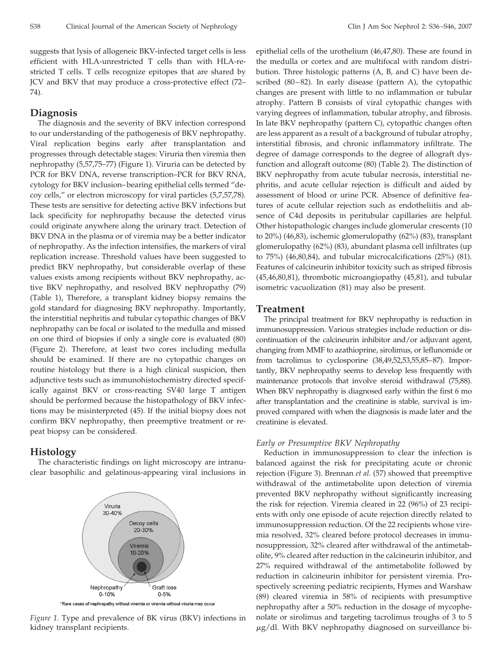suggests that lysis of allogeneic BKV-infected target cells is less efficient with HLA-unrestricted T cells than with HLA-restricted T cells. T cells recognize epitopes that are shared by JCV and BKV that may produce a cross-protective effect (72– 74).

## **Diagnosis**

The diagnosis and the severity of BKV infection correspond to our understanding of the pathogenesis of BKV nephropathy. Viral replication begins early after transplantation and progresses through detectable stages: Viruria then viremia then nephropathy (5,57,75–77) (Figure 1). Viruria can be detected by PCR for BKV DNA, reverse transcription–PCR for BKV RNA, cytology for BKV inclusion– bearing epithelial cells termed "decoy cells," or electron microscopy for viral particles (5,7,57,78). These tests are sensitive for detecting active BKV infections but lack specificity for nephropathy because the detected virus could originate anywhere along the urinary tract. Detection of BKV DNA in the plasma or of viremia may be a better indicator of nephropathy. As the infection intensifies, the markers of viral replication increase. Threshold values have been suggested to predict BKV nephropathy, but considerable overlap of these values exists among recipients without BKV nephropathy, active BKV nephropathy, and resolved BKV nephropathy (79) (Table 1), Therefore, a transplant kidney biopsy remains the gold standard for diagnosing BKV nephropathy. Importantly, the interstitial nephritis and tubular cytopathic changes of BKV nephropathy can be focal or isolated to the medulla and missed on one third of biopsies if only a single core is evaluated (80) (Figure 2). Therefore, at least two cores including medulla should be examined. If there are no cytopathic changes on routine histology but there is a high clinical suspicion, then adjunctive tests such as immunohistochemistry directed specifically against BKV or cross-reacting SV40 large T antigen should be performed because the histopathology of BKV infections may be misinterpreted (45). If the initial biopsy does not confirm BKV nephropathy, then preemptive treatment or repeat biopsy can be considered.

# **Histology**

The characteristic findings on light microscopy are intranuclear basophilic and gelatinous-appearing viral inclusions in



\*Rare cases of nephropathy without viremia or viremia without viruria may occur

*Figure 1.* Type and prevalence of BK virus (BKV) infections in kidney transplant recipients.

epithelial cells of the urothelium (46,47,80). These are found in the medulla or cortex and are multifocal with random distribution. Three histologic patterns (A, B, and C) have been described  $(80-82)$ . In early disease (pattern A), the cytopathic changes are present with little to no inflammation or tubular atrophy. Pattern B consists of viral cytopathic changes with varying degrees of inflammation, tubular atrophy, and fibrosis. In late BKV nephropathy (pattern C), cytopathic changes often are less apparent as a result of a background of tubular atrophy, interstitial fibrosis, and chronic inflammatory infiltrate. The degree of damage corresponds to the degree of allograft dysfunction and allograft outcome (80) (Table 2). The distinction of BKV nephropathy from acute tubular necrosis, interstitial nephritis, and acute cellular rejection is difficult and aided by assessment of blood or urine PCR. Absence of definitive features of acute cellular rejection such as endotheliitis and absence of C4d deposits in peritubular capillaries are helpful. Other histopathologic changes include glomerular crescents (10 to 20%) (46,83), ischemic glomerulopathy (62%) (83), transplant glomerulopathy (62%) (83), abundant plasma cell infiltrates (up to 75%) (46,80,84), and tubular microcalcifications (25%) (81). Features of calcineurin inhibitor toxicity such as striped fibrosis (45,46,80,81), thrombotic microangiopathy (45,81), and tubular isometric vacuolization (81) may also be present.

#### **Treatment**

The principal treatment for BKV nephropathy is reduction in immunosuppression. Various strategies include reduction or discontinuation of the calcineurin inhibitor and/or adjuvant agent, changing from MMF to azathioprine, sirolimus, or leflunomide or from tacrolimus to cyclosporine (38,49,52,53,55,85– 87). Importantly, BKV nephropathy seems to develop less frequently with maintenance protocols that involve steroid withdrawal (75,88). When BKV nephropathy is diagnosed early within the first 6 mo after transplantation and the creatinine is stable, survival is improved compared with when the diagnosis is made later and the creatinine is elevated.

#### *Early or Presumptive BKV Nephropathy*

Reduction in immunosuppression to clear the infection is balanced against the risk for precipitating acute or chronic rejection (Figure 3). Brennan *et al.* (57) showed that preemptive withdrawal of the antimetabolite upon detection of viremia prevented BKV nephropathy without significantly increasing the risk for rejection. Viremia cleared in 22 (96%) of 23 recipients with only one episode of acute rejection directly related to immunosuppression reduction. Of the 22 recipients whose viremia resolved, 32% cleared before protocol decreases in immunosuppression, 32% cleared after withdrawal of the antimetabolite, 9% cleared after reduction in the calcineurin inhibitor, and 27% required withdrawal of the antimetabolite followed by reduction in calcineurin inhibitor for persistent viremia. Prospectively screening pediatric recipients, Hymes and Warshaw (89) cleared viremia in 58% of recipients with presumptive nephropathy after a 50% reduction in the dosage of mycophenolate or sirolimus and targeting tacrolimus troughs of 3 to 5  $\mu$ g/dl. With BKV nephropathy diagnosed on surveillance bi-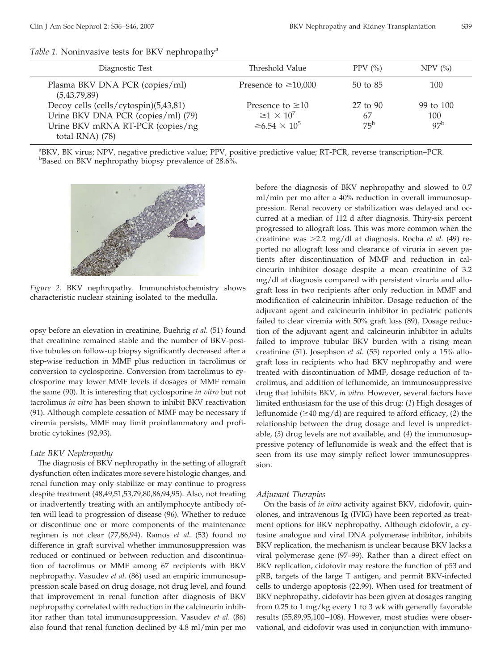| Diagnostic Test                                | Threshold Value                   | PPV $(\% )$     | $NPV$ $(\% )$   |
|------------------------------------------------|-----------------------------------|-----------------|-----------------|
| Plasma BKV DNA PCR (copies/ml)<br>(5,43,79,89) | Presence to $\geq 10,000$         | 50 to 85        | 100             |
| Decoy cells (cells/cytospin)(5,43,81)          | Presence to $\geq 10$             | $27$ to $90$    | 99 to $100$     |
| Urine BKV DNA PCR (copies/ml) (79)             | $\geq$ 1 $\times$ 10 <sup>7</sup> | 67              | 100             |
| Urine BKV mRNA RT-PCR (copies/ng               | $\geq 6.54 \times 10^5$           | 75 <sup>b</sup> | 97 <sup>b</sup> |
| total RNA $(78)$                               |                                   |                 |                 |

a BKV, BK virus; NPV, negative predictive value; PPV, positive predictive value; RT-PCR, reverse transcription–PCR. <sup>b</sup>Based on BKV nephropathy biopsy prevalence of 28.6%.



*Figure 2.* BKV nephropathy. Immunohistochemistry shows characteristic nuclear staining isolated to the medulla.

opsy before an elevation in creatinine, Buehrig *et al.* (51) found that creatinine remained stable and the number of BKV-positive tubules on follow-up biopsy significantly decreased after a step-wise reduction in MMF plus reduction in tacrolimus or conversion to cyclosporine. Conversion from tacrolimus to cyclosporine may lower MMF levels if dosages of MMF remain the same (90). It is interesting that cyclosporine *in vitro* but not tacrolimus *in vitro* has been shown to inhibit BKV reactivation (91). Although complete cessation of MMF may be necessary if viremia persists, MMF may limit proinflammatory and profibrotic cytokines (92,93).

### *Late BKV Nephropathy*

The diagnosis of BKV nephropathy in the setting of allograft dysfunction often indicates more severe histologic changes, and renal function may only stabilize or may continue to progress despite treatment (48,49,51,53,79,80,86,94,95). Also, not treating or inadvertently treating with an antilymphocyte antibody often will lead to progression of disease (96). Whether to reduce or discontinue one or more components of the maintenance regimen is not clear (77,86,94). Ramos *et al.* (53) found no difference in graft survival whether immunosuppression was reduced or continued or between reduction and discontinuation of tacrolimus or MMF among 67 recipients with BKV nephropathy. Vasudev *et al.* (86) used an empiric immunosuppression scale based on drug dosage, not drug level, and found that improvement in renal function after diagnosis of BKV nephropathy correlated with reduction in the calcineurin inhibitor rather than total immunosuppression. Vasudev *et al.* (86) also found that renal function declined by 4.8 ml/min per mo before the diagnosis of BKV nephropathy and slowed to 0.7 ml/min per mo after a 40% reduction in overall immunosuppression. Renal recovery or stabilization was delayed and occurred at a median of 112 d after diagnosis. Thiry-six percent progressed to allograft loss. This was more common when the creatinine was 2.2 mg/dl at diagnosis. Rocha *et al.* (49) reported no allograft loss and clearance of viruria in seven patients after discontinuation of MMF and reduction in calcineurin inhibitor dosage despite a mean creatinine of 3.2 mg/dl at diagnosis compared with persistent viruria and allograft loss in two recipients after only reduction in MMF and modification of calcineurin inhibitor. Dosage reduction of the adjuvant agent and calcineurin inhibitor in pediatric patients failed to clear viremia with 50% graft loss (89). Dosage reduction of the adjuvant agent and calcineurin inhibitor in adults failed to improve tubular BKV burden with a rising mean creatinine (51). Josephson *et al.* (55) reported only a 15% allograft loss in recipients who had BKV nephropathy and were treated with discontinuation of MMF, dosage reduction of tacrolimus, and addition of leflunomide, an immunosuppressive drug that inhibits BKV, *in vitro*. However, several factors have limited enthusiasm for the use of this drug: (*1*) High dosages of leflunomide ( $\geq$ 40 mg/d) are required to afford efficacy, (2) the relationship between the drug dosage and level is unpredictable, (*3*) drug levels are not available, and (*4*) the immunosuppressive potency of leflunomide is weak and the effect that is seen from its use may simply reflect lower immunosuppression.

#### *Adjuvant Therapies*

On the basis of *in vitro* activity against BKV, cidofovir, quinolones, and intravenous Ig (IVIG) have been reported as treatment options for BKV nephropathy. Although cidofovir, a cytosine analogue and viral DNA polymerase inhibitor, inhibits BKV replication, the mechanism is unclear because BKV lacks a viral polymerase gene (97–99). Rather than a direct effect on BKV replication, cidofovir may restore the function of p53 and pRB, targets of the large T antigen, and permit BKV-infected cells to undergo apoptosis (22,99). When used for treatment of BKV nephropathy, cidofovir has been given at dosages ranging from 0.25 to 1 mg/kg every 1 to 3 wk with generally favorable results (55,89,95,100 –108). However, most studies were observational, and cidofovir was used in conjunction with immuno-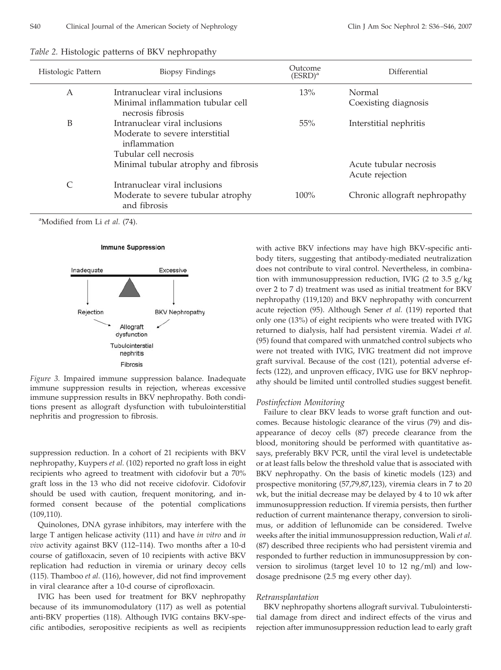| Histologic Pattern | Biopsy Findings                                        | Outcome<br>$(ESRD)^a$ | Differential                              |
|--------------------|--------------------------------------------------------|-----------------------|-------------------------------------------|
| А                  | Intranuclear viral inclusions                          | 13%                   | Normal                                    |
|                    | Minimal inflammation tubular cell<br>necrosis fibrosis |                       | Coexisting diagnosis                      |
| B                  | Intranuclear viral inclusions                          | 55%                   | Interstitial nephritis                    |
|                    | Moderate to severe interstitial<br>inflammation        |                       |                                           |
|                    | Tubular cell necrosis                                  |                       |                                           |
|                    | Minimal tubular atrophy and fibrosis                   |                       | Acute tubular necrosis<br>Acute rejection |
| C                  | Intranuclear viral inclusions                          |                       |                                           |
|                    | Moderate to severe tubular atrophy<br>and fibrosis     | $100\%$               | Chronic allograft nephropathy             |

*Table 2.* Histologic patterns of BKV nephropathy

a Modified from Li *et al.* (74).

#### **Immune Suppression**



*Figure 3.* Impaired immune suppression balance. Inadequate immune suppression results in rejection, whereas excessive immune suppression results in BKV nephropathy. Both conditions present as allograft dysfunction with tubulointerstitial nephritis and progression to fibrosis.

suppression reduction. In a cohort of 21 recipients with BKV nephropathy, Kuypers *et al.* (102) reported no graft loss in eight recipients who agreed to treatment with cidofovir but a 70% graft loss in the 13 who did not receive cidofovir. Cidofovir should be used with caution, frequent monitoring, and informed consent because of the potential complications (109,110).

Quinolones, DNA gyrase inhibitors, may interfere with the large T antigen helicase activity (111) and have *in vitro* and *in vivo* activity against BKV (112–114). Two months after a 10-d course of gatifloxacin, seven of 10 recipients with active BKV replication had reduction in viremia or urinary decoy cells (115). Thamboo *et al.* (116), however, did not find improvement in viral clearance after a 10-d course of ciprofloxacin.

IVIG has been used for treatment for BKV nephropathy because of its immunomodulatory (117) as well as potential anti-BKV properties (118). Although IVIG contains BKV-specific antibodies, seropositive recipients as well as recipients with active BKV infections may have high BKV-specific antibody titers, suggesting that antibody-mediated neutralization does not contribute to viral control. Nevertheless, in combination with immunosuppression reduction, IVIG (2 to 3.5 g/kg over 2 to 7 d) treatment was used as initial treatment for BKV nephropathy (119,120) and BKV nephropathy with concurrent acute rejection (95). Although Sener *et al.* (119) reported that only one (13%) of eight recipients who were treated with IVIG returned to dialysis, half had persistent viremia. Wadei *et al.* (95) found that compared with unmatched control subjects who were not treated with IVIG, IVIG treatment did not improve graft survival. Because of the cost (121), potential adverse effects (122), and unproven efficacy, IVIG use for BKV nephropathy should be limited until controlled studies suggest benefit.

#### *Postinfection Monitoring*

Failure to clear BKV leads to worse graft function and outcomes. Because histologic clearance of the virus (79) and disappearance of decoy cells (87) precede clearance from the blood, monitoring should be performed with quantitative assays, preferably BKV PCR, until the viral level is undetectable or at least falls below the threshold value that is associated with BKV nephropathy. On the basis of kinetic models (123) and prospective monitoring (57,79,87,123), viremia clears in 7 to 20 wk, but the initial decrease may be delayed by 4 to 10 wk after immunosuppression reduction. If viremia persists, then further reduction of current maintenance therapy, conversion to sirolimus, or addition of leflunomide can be considered. Twelve weeks after the initial immunosuppression reduction, Wali *et al.* (87) described three recipients who had persistent viremia and responded to further reduction in immunosuppression by conversion to sirolimus (target level 10 to 12 ng/ml) and lowdosage prednisone (2.5 mg every other day).

#### *Retransplantation*

BKV nephropathy shortens allograft survival. Tubulointerstitial damage from direct and indirect effects of the virus and rejection after immunosuppression reduction lead to early graft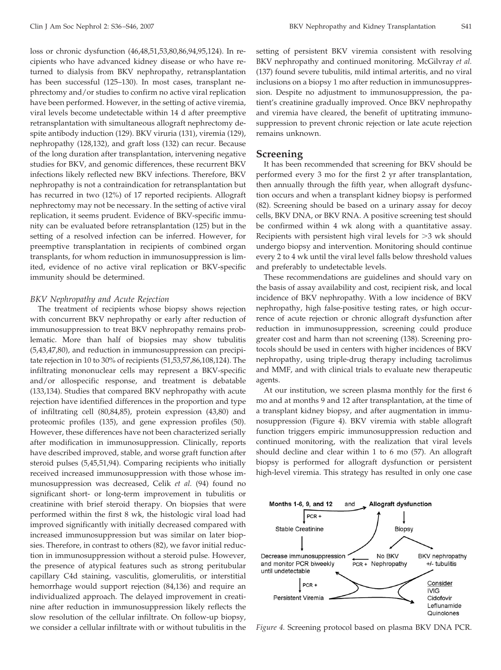loss or chronic dysfunction (46,48,51,53,80,86,94,95,124). In recipients who have advanced kidney disease or who have returned to dialysis from BKV nephropathy, retransplantation has been successful (125–130). In most cases, transplant nephrectomy and/or studies to confirm no active viral replication have been performed. However, in the setting of active viremia, viral levels become undetectable within 14 d after preemptive retransplantation with simultaneous allograft nephrectomy despite antibody induction (129). BKV viruria (131), viremia (129), nephropathy (128,132), and graft loss (132) can recur. Because of the long duration after transplantation, intervening negative studies for BKV, and genomic differences, these recurrent BKV infections likely reflected new BKV infections. Therefore, BKV nephropathy is not a contraindication for retransplantation but has recurred in two (12%) of 17 reported recipients. Allograft nephrectomy may not be necessary. In the setting of active viral replication, it seems prudent. Evidence of BKV-specific immunity can be evaluated before retransplantation (125) but in the setting of a resolved infection can be inferred. However, for preemptive transplantation in recipients of combined organ transplants, for whom reduction in immunosuppression is limited, evidence of no active viral replication or BKV-specific immunity should be determined.

#### *BKV Nephropathy and Acute Rejection*

The treatment of recipients whose biopsy shows rejection with concurrent BKV nephropathy or early after reduction of immunosuppression to treat BKV nephropathy remains problematic. More than half of biopsies may show tubulitis (5,43,47,80), and reduction in immunosuppression can precipitate rejection in 10 to 30% of recipients (51,53,57,86,108,124). The infiltrating mononuclear cells may represent a BKV-specific and/or allospecific response, and treatment is debatable (133,134). Studies that compared BKV nephropathy with acute rejection have identified differences in the proportion and type of infiltrating cell (80,84,85), protein expression (43,80) and proteomic profiles (135), and gene expression profiles (50). However, these differences have not been characterized serially after modification in immunosuppression. Clinically, reports have described improved, stable, and worse graft function after steroid pulses (5,45,51,94). Comparing recipients who initially received increased immunosuppression with those whose immunosuppression was decreased, Celik *et al.* (94) found no significant short- or long-term improvement in tubulitis or creatinine with brief steroid therapy. On biopsies that were performed within the first 8 wk, the histologic viral load had improved significantly with initially decreased compared with increased immunosuppression but was similar on later biopsies. Therefore, in contrast to others (82), we favor initial reduction in immunosuppression without a steroid pulse. However, the presence of atypical features such as strong peritubular capillary C4d staining, vasculitis, glomerulitis, or interstitial hemorrhage would support rejection (84,136) and require an individualized approach. The delayed improvement in creatinine after reduction in immunosuppression likely reflects the slow resolution of the cellular infiltrate. On follow-up biopsy, we consider a cellular infiltrate with or without tubulitis in the setting of persistent BKV viremia consistent with resolving BKV nephropathy and continued monitoring. McGilvray *et al.* (137) found severe tubulitis, mild intimal arteritis, and no viral inclusions on a biopsy 1 mo after reduction in immunosuppression. Despite no adjustment to immunosuppression, the patient's creatinine gradually improved. Once BKV nephropathy and viremia have cleared, the benefit of uptitrating immunosuppression to prevent chronic rejection or late acute rejection remains unknown.

## **Screening**

It has been recommended that screening for BKV should be performed every 3 mo for the first 2 yr after transplantation, then annually through the fifth year, when allograft dysfunction occurs and when a transplant kidney biopsy is performed (82). Screening should be based on a urinary assay for decoy cells, BKV DNA, or BKV RNA. A positive screening test should be confirmed within 4 wk along with a quantitative assay. Recipients with persistent high viral levels for  $>3$  wk should undergo biopsy and intervention. Monitoring should continue every 2 to 4 wk until the viral level falls below threshold values and preferably to undetectable levels.

These recommendations are guidelines and should vary on the basis of assay availability and cost, recipient risk, and local incidence of BKV nephropathy. With a low incidence of BKV nephropathy, high false-positive testing rates, or high occurrence of acute rejection or chronic allograft dysfunction after reduction in immunosuppression, screening could produce greater cost and harm than not screening (138). Screening protocols should be used in centers with higher incidences of BKV nephropathy, using triple-drug therapy including tacrolimus and MMF, and with clinical trials to evaluate new therapeutic agents.

At our institution, we screen plasma monthly for the first 6 mo and at months 9 and 12 after transplantation, at the time of a transplant kidney biopsy, and after augmentation in immunosuppression (Figure 4). BKV viremia with stable allograft function triggers empiric immunosuppression reduction and continued monitoring, with the realization that viral levels should decline and clear within 1 to 6 mo (57). An allograft biopsy is performed for allograft dysfunction or persistent high-level viremia. This strategy has resulted in only one case



*Figure 4.* Screening protocol based on plasma BKV DNA PCR.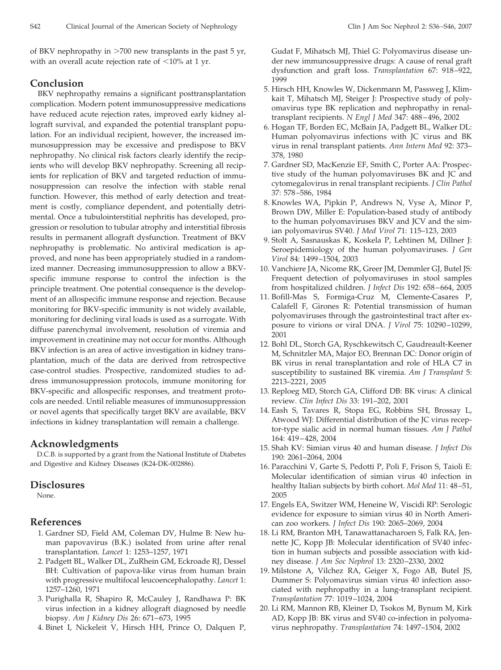of BKV nephropathy in  $>700$  new transplants in the past 5 yr, with an overall acute rejection rate of  $\langle 10\% \atop 10^{n} \rangle$  at 1 yr.

# **Conclusion**

BKV nephropathy remains a significant posttransplantation complication. Modern potent immunosuppressive medications have reduced acute rejection rates, improved early kidney allograft survival, and expanded the potential transplant population. For an individual recipient, however, the increased immunosuppression may be excessive and predispose to BKV nephropathy. No clinical risk factors clearly identify the recipients who will develop BKV nephropathy. Screening all recipients for replication of BKV and targeted reduction of immunosuppression can resolve the infection with stable renal function. However, this method of early detection and treatment is costly, compliance dependent, and potentially detrimental. Once a tubulointerstitial nephritis has developed, progression or resolution to tubular atrophy and interstitial fibrosis results in permanent allograft dysfunction. Treatment of BKV nephropathy is problematic. No antiviral medication is approved, and none has been appropriately studied in a randomized manner. Decreasing immunosuppression to allow a BKVspecific immune response to control the infection is the principle treatment. One potential consequence is the development of an allospecific immune response and rejection. Because monitoring for BKV-specific immunity is not widely available, monitoring for declining viral loads is used as a surrogate. With diffuse parenchymal involvement, resolution of viremia and improvement in creatinine may not occur for months. Although BKV infection is an area of active investigation in kidney transplantation, much of the data are derived from retrospective case-control studies. Prospective, randomized studies to address immunosuppression protocols, immune monitoring for BKV-specific and allospecific responses, and treatment protocols are needed. Until reliable measures of immunosuppression or novel agents that specifically target BKV are available, BKV infections in kidney transplantation will remain a challenge.

# **Acknowledgments**

D.C.B. is supported by a grant from the National Institute of Diabetes and Digestive and Kidney Diseases (K24-DK-002886).

# **Disclosures**

None.

# **References**

- 1. Gardner SD, Field AM, Coleman DV, Hulme B: New human papovavirus (B.K.) isolated from urine after renal transplantation. *Lancet* 1: 1253–1257, 1971
- 2. Padgett BL, Walker DL, ZuRhein GM, Eckroade RJ, Dessel BH: Cultivation of papova-like virus from human brain with progressive multifocal leucoencephalopathy. *Lancet* 1: 1257–1260, 1971
- 3. Purighalla R, Shapiro R, McCauley J, Randhawa P: BK virus infection in a kidney allograft diagnosed by needle biopsy. *Am J Kidney Dis* 26: 671– 673, 1995
- 4. Binet I, Nickeleit V, Hirsch HH, Prince O, Dalquen P,

Gudat F, Mihatsch MJ, Thiel G: Polyomavirus disease under new immunosuppressive drugs: A cause of renal graft dysfunction and graft loss. *Transplantation* 67: 918 –922, 1999

- 5. Hirsch HH, Knowles W, Dickenmann M, Passweg J, Klimkait T, Mihatsch MJ, Steiger J: Prospective study of polyomavirus type BK replication and nephropathy in renaltransplant recipients. *N Engl J Med* 347: 488 – 496, 2002
- 6. Hogan TF, Borden EC, McBain JA, Padgett BL, Walker DL: Human polyomavirus infections with JC virus and BK virus in renal transplant patients. *Ann Intern Med* 92: 373– 378, 1980
- 7. Gardner SD, MacKenzie EF, Smith C, Porter AA: Prospective study of the human polyomaviruses BK and JC and cytomegalovirus in renal transplant recipients. *J Clin Pathol* 37: 578 –586, 1984
- 8. Knowles WA, Pipkin P, Andrews N, Vyse A, Minor P, Brown DW, Miller E: Population-based study of antibody to the human polyomaviruses BKV and JCV and the simian polyomavirus SV40. *J Med Virol* 71: 115–123, 2003
- 9. Stolt A, Sasnauskas K, Koskela P, Lehtinen M, Dillner J: Seroepidemiology of the human polyomaviruses. *J Gen Virol* 84: 1499 –1504, 2003
- 10. Vanchiere JA, Nicome RK, Greer JM, Demmler GJ, Butel JS: Frequent detection of polyomaviruses in stool samples from hospitalized children. *J Infect Dis* 192: 658 – 664, 2005
- 11. Bofill-Mas S, Formiga-Cruz M, Clemente-Casares P, Calafell F, Girones R: Potential transmission of human polyomaviruses through the gastrointestinal tract after exposure to virions or viral DNA. *J Virol* 75: 10290 –10299, 2001
- 12. Bohl DL, Storch GA, Ryschkewitsch C, Gaudreault-Keener M, Schnitzler MA, Major EO, Brennan DC: Donor origin of BK virus in renal transplantation and role of HLA C7 in susceptibility to sustained BK viremia. *Am J Transplant* 5: 2213–2221, 2005
- 13. Reploeg MD, Storch GA, Clifford DB: BK virus: A clinical review. *Clin Infect Dis* 33: 191–202, 2001
- 14. Eash S, Tavares R, Stopa EG, Robbins SH, Brossay L, Atwood WJ: Differential distribution of the JC virus receptor-type sialic acid in normal human tissues. *Am J Pathol* 164: 419 – 428, 2004
- 15. Shah KV: Simian virus 40 and human disease. *J Infect Dis* 190: 2061–2064, 2004
- 16. Paracchini V, Garte S, Pedotti P, Poli F, Frison S, Taioli E: Molecular identification of simian virus 40 infection in healthy Italian subjects by birth cohort. *Mol Med* 11: 48 –51, 2005
- 17. Engels EA, Switzer WM, Heneine W, Viscidi RP: Serologic evidence for exposure to simian virus 40 in North American zoo workers. *J Infect Dis* 190: 2065–2069, 2004
- 18. Li RM, Branton MH, Tanawattanacharoen S, Falk RA, Jennette JC, Kopp JB: Molecular identification of SV40 infection in human subjects and possible association with kidney disease. *J Am Soc Nephrol* 13: 2320 –2330, 2002
- 19. Milstone A, Vilchez RA, Geiger X, Fogo AB, Butel JS, Dummer S: Polyomavirus simian virus 40 infection associated with nephropathy in a lung-transplant recipient. *Transplantation* 77: 1019 –1024, 2004
- 20. Li RM, Mannon RB, Kleiner D, Tsokos M, Bynum M, Kirk AD, Kopp JB: BK virus and SV40 co-infection in polyomavirus nephropathy. *Transplantation* 74: 1497–1504, 2002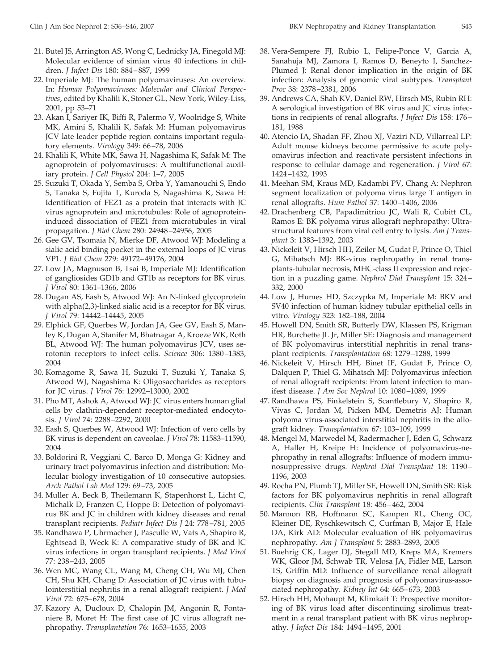- 21. Butel JS, Arrington AS, Wong C, Lednicky JA, Finegold MJ: Molecular evidence of simian virus 40 infections in children. *J Infect Dis* 180: 884 – 887, 1999
- 22. Imperiale MJ: The human polyomaviruses: An overview. In: *Human Polyomaviruses: Molecular and Clinical Perspectives*, edited by Khalili K, Stoner GL, New York, Wiley-Liss, 2001, pp 53–71
- 23. Akan I, Sariyer IK, Biffi R, Palermo V, Woolridge S, White MK, Amini S, Khalili K, Safak M: Human polyomavirus JCV late leader peptide region contains important regulatory elements. *Virology* 349: 66 –78, 2006
- 24. Khalili K, White MK, Sawa H, Nagashima K, Safak M: The agnoprotein of polyomaviruses: A multifunctional auxiliary protein. *J Cell Physiol* 204: 1–7, 2005
- 25. Suzuki T, Okada Y, Semba S, Orba Y, Yamanouchi S, Endo S, Tanaka S, Fujita T, Kuroda S, Nagashima K, Sawa H: Identification of FEZ1 as a protein that interacts with JC virus agnoprotein and microtubules: Role of agnoproteininduced dissociation of FEZ1 from microtubules in viral propagation. *J Biol Chem* 280: 24948 –24956, 2005
- 26. Gee GV, Tsomaia N, Mierke DF, Atwood WJ: Modeling a sialic acid binding pocket in the external loops of JC virus VP1. *J Biol Chem* 279: 49172– 49176, 2004
- 27. Low JA, Magnuson B, Tsai B, Imperiale MJ: Identification of gangliosides GD1b and GT1b as receptors for BK virus. *J Virol* 80: 1361–1366, 2006
- 28. Dugan AS, Eash S, Atwood WJ: An N-linked glycoprotein with alpha(2,3)-linked sialic acid is a receptor for BK virus. *J Virol* 79: 14442–14445, 2005
- 29. Elphick GF, Querbes W, Jordan JA, Gee GV, Eash S, Manley K, Dugan A, Stanifer M, Bhatnagar A, Kroeze WK, Roth BL, Atwood WJ: The human polyomavirus JCV, uses serotonin receptors to infect cells. *Science* 306: 1380 –1383, 2004
- 30. Komagome R, Sawa H, Suzuki T, Suzuki Y, Tanaka S, Atwood WJ, Nagashima K: Oligosaccharides as receptors for JC virus. *J Virol* 76: 12992–13000, 2002
- 31. Pho MT, Ashok A, Atwood WJ: JC virus enters human glial cells by clathrin-dependent receptor-mediated endocytosis. *J Virol* 74: 2288 –2292, 2000
- 32. Eash S, Querbes W, Atwood WJ: Infection of vero cells by BK virus is dependent on caveolae. *J Virol* 78: 11583–11590, 2004
- 33. Boldorini R, Veggiani C, Barco D, Monga G: Kidney and urinary tract polyomavirus infection and distribution: Molecular biology investigation of 10 consecutive autopsies. *Arch Pathol Lab Med* 129: 69 –73, 2005
- 34. Muller A, Beck B, Theilemann K, Stapenhorst L, Licht C, Michalk D, Franzen C, Hoppe B: Detection of polyomavirus BK and JC in children with kidney diseases and renal transplant recipients. *Pediatr Infect Dis J* 24: 778 –781, 2005
- 35. Randhawa P, Uhrmacher J, Pasculle W, Vats A, Shapiro R, Eghtsead B, Weck K: A comparative study of BK and JC virus infections in organ transplant recipients. *J Med Virol* 77: 238 –243, 2005
- 36. Wen MC, Wang CL, Wang M, Cheng CH, Wu MJ, Chen CH, Shu KH, Chang D: Association of JC virus with tubulointerstitial nephritis in a renal allograft recipient. *J Med Virol* 72: 675– 678, 2004
- 37. Kazory A, Ducloux D, Chalopin JM, Angonin R, Fontaniere B, Moret H: The first case of JC virus allograft nephropathy. *Transplantation* 76: 1653–1655, 2003
- 38. Vera-Sempere FJ, Rubio L, Felipe-Ponce V, Garcia A, Sanahuja MJ, Zamora I, Ramos D, Beneyto I, Sanchez-Plumed J: Renal donor implication in the origin of BK infection: Analysis of genomic viral subtypes. *Transplant Proc* 38: 2378 –2381, 2006
- 39. Andrews CA, Shah KV, Daniel RW, Hirsch MS, Rubin RH: A serological investigation of BK virus and JC virus infections in recipients of renal allografts. *J Infect Dis* 158: 176 – 181, 1988
- 40. Atencio IA, Shadan FF, Zhou XJ, Vaziri ND, Villarreal LP: Adult mouse kidneys become permissive to acute polyomavirus infection and reactivate persistent infections in response to cellular damage and regeneration. *J Virol* 67: 1424 –1432, 1993
- 41. Meehan SM, Kraus MD, Kadambi PV, Chang A: Nephron segment localization of polyoma virus large T antigen in renal allografts. *Hum Pathol* 37: 1400 –1406, 2006
- 42. Drachenberg CB, Papadimitriou JC, Wali R, Cubitt CL, Ramos E: BK polyoma virus allograft nephropathy: Ultrastructural features from viral cell entry to lysis. *Am J Transplant* 3: 1383–1392, 2003
- 43. Nickeleit V, Hirsch HH, Zeiler M, Gudat F, Prince O, Thiel G, Mihatsch MJ: BK-virus nephropathy in renal transplants-tubular necrosis, MHC-class II expression and rejection in a puzzling game. *Nephrol Dial Transplant* 15: 324 – 332, 2000
- 44. Low J, Humes HD, Szczypka M, Imperiale M: BKV and SV40 infection of human kidney tubular epithelial cells in vitro. *Virology* 323: 182–188, 2004
- 45. Howell DN, Smith SR, Butterly DW, Klassen PS, Krigman HR, Burchette JL Jr, Miller SE: Diagnosis and management of BK polyomavirus interstitial nephritis in renal transplant recipients. *Transplantation* 68: 1279 –1288, 1999
- 46. Nickeleit V, Hirsch HH, Binet IF, Gudat F, Prince O, Dalquen P, Thiel G, Mihatsch MJ: Polyomavirus infection of renal allograft recipients: From latent infection to manifest disease. *J Am Soc Nephrol* 10: 1080 –1089, 1999
- 47. Randhawa PS, Finkelstein S, Scantlebury V, Shapiro R, Vivas C, Jordan M, Picken MM, Demetris AJ: Human polyoma virus-associated interstitial nephritis in the allograft kidney. *Transplantation* 67: 103–109, 1999
- 48. Mengel M, Marwedel M, Radermacher J, Eden G, Schwarz A, Haller H, Kreipe H: Incidence of polyomavirus-nephropathy in renal allografts: Influence of modern immunosuppressive drugs. *Nephrol Dial Transplant* 18: 1190 – 1196, 2003
- 49. Rocha PN, Plumb TJ, Miller SE, Howell DN, Smith SR: Risk factors for BK polyomavirus nephritis in renal allograft recipients. *Clin Transplant* 18: 456 – 462, 2004
- 50. Mannon RB, Hoffmann SC, Kampen RL, Cheng OC, Kleiner DE, Ryschkewitsch C, Curfman B, Major E, Hale DA, Kirk AD: Molecular evaluation of BK polyomavirus nephropathy. *Am J Transplant* 5: 2883–2893, 2005
- 51. Buehrig CK, Lager DJ, Stegall MD, Kreps MA, Kremers WK, Gloor JM, Schwab TR, Velosa JA, Fidler ME, Larson TS, Griffin MD: Influence of surveillance renal allograft biopsy on diagnosis and prognosis of polyomavirus-associated nephropathy. *Kidney Int* 64: 665– 673, 2003
- 52. Hirsch HH, Mohaupt M, Klimkait T: Prospective monitoring of BK virus load after discontinuing sirolimus treatment in a renal transplant patient with BK virus nephropathy. *J Infect Dis* 184: 1494 –1495, 2001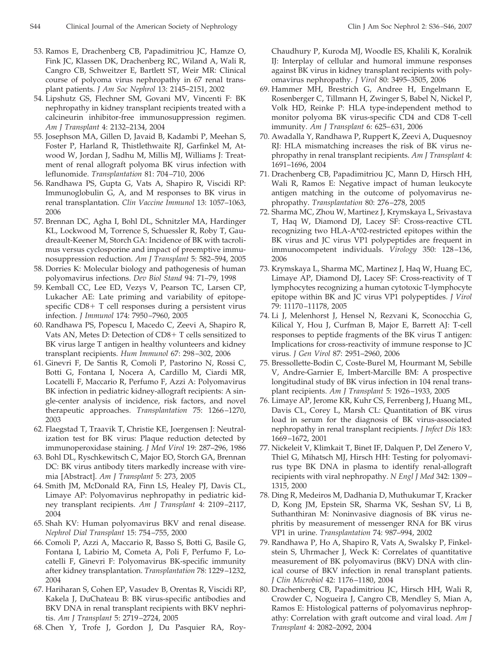- 53. Ramos E, Drachenberg CB, Papadimitriou JC, Hamze O, Fink JC, Klassen DK, Drachenberg RC, Wiland A, Wali R, Cangro CB, Schweitzer E, Bartlett ST, Weir MR: Clinical course of polyoma virus nephropathy in 67 renal transplant patients. *J Am Soc Nephrol* 13: 2145–2151, 2002
- 54. Lipshutz GS, Flechner SM, Govani MV, Vincenti F: BK nephropathy in kidney transplant recipients treated with a calcineurin inhibitor-free immunosuppression regimen. *Am J Transplant* 4: 2132–2134, 2004
- 55. Josephson MA, Gillen D, Javaid B, Kadambi P, Meehan S, Foster P, Harland R, Thistlethwaite RJ, Garfinkel M, Atwood W, Jordan J, Sadhu M, Millis MJ, Williams J: Treatment of renal allograft polyoma BK virus infection with leflunomide. *Transplantation* 81: 704 –710, 2006
- 56. Randhawa PS, Gupta G, Vats A, Shapiro R, Viscidi RP: Immunoglobulin G, A, and M responses to BK virus in renal transplantation. *Clin Vaccine Immunol* 13: 1057–1063, 2006
- 57. Brennan DC, Agha I, Bohl DL, Schnitzler MA, Hardinger KL, Lockwood M, Torrence S, Schuessler R, Roby T, Gaudreault-Keener M, Storch GA: Incidence of BK with tacrolimus versus cyclosporine and impact of preemptive immunosuppression reduction. *Am J Transplant* 5: 582–594, 2005
- 58. Dorries K: Molecular biology and pathogenesis of human polyomavirus infections. *Dev Biol Stand* 94: 71–79, 1998
- 59. Kemball CC, Lee ED, Vezys V, Pearson TC, Larsen CP, Lukacher AE: Late priming and variability of epitopespecific CD8+ T cell responses during a persistent virus infection. *J Immunol* 174: 7950 –7960, 2005
- 60. Randhawa PS, Popescu I, Macedo C, Zeevi A, Shapiro R, Vats AN, Metes D: Detection of CD8+ T cells sensitized to BK virus large T antigen in healthy volunteers and kidney transplant recipients. *Hum Immunol* 67: 298 –302, 2006
- 61. Ginevri F, De Santis R, Comoli P, Pastorino N, Rossi C, Botti G, Fontana I, Nocera A, Cardillo M, Ciardi MR, Locatelli F, Maccario R, Perfumo F, Azzi A: Polyomavirus BK infection in pediatric kidney-allograft recipients: A single-center analysis of incidence, risk factors, and novel therapeutic approaches. *Transplantation* 75: 1266 –1270, 2003
- 62. Flaegstad T, Traavik T, Christie KE, Joergensen J: Neutralization test for BK virus: Plaque reduction detected by immunoperoxidase staining. *J Med Virol* 19: 287–296, 1986
- 63. Bohl DL, Ryschkewitsch C, Major EO, Storch GA, Brennan DC: BK virus antibody titers markedly increase with viremia [Abstract]. *Am J Transplant* 5: 273, 2005
- 64. Smith JM, McDonald RA, Finn LS, Healey PJ, Davis CL, Limaye AP: Polyomavirus nephropathy in pediatric kidney transplant recipients. *Am J Transplant* 4: 2109 –2117, 2004
- 65. Shah KV: Human polyomavirus BKV and renal disease. *Nephrol Dial Transplant* 15: 754 –755, 2000
- 66. Comoli P, Azzi A, Maccario R, Basso S, Botti G, Basile G, Fontana I, Labirio M, Cometa A, Poli F, Perfumo F, Locatelli F, Ginevri F: Polyomavirus BK-specific immunity after kidney transplantation. *Transplantation* 78: 1229 –1232, 2004
- 67. Hariharan S, Cohen EP, Vasudev B, Orentas R, Viscidi RP, Kakela J, DuChateau B: BK virus-specific antibodies and BKV DNA in renal transplant recipients with BKV nephritis. *Am J Transplant* 5: 2719 –2724, 2005
- 68. Chen Y, Trofe J, Gordon J, Du Pasquier RA, Roy-

Chaudhury P, Kuroda MJ, Woodle ES, Khalili K, Koralnik IJ: Interplay of cellular and humoral immune responses against BK virus in kidney transplant recipients with polyomavirus nephropathy. *J Virol* 80: 3495–3505, 2006

- 69. Hammer MH, Brestrich G, Andree H, Engelmann E, Rosenberger C, Tillmann H, Zwinger S, Babel N, Nickel P, Volk HD, Reinke P: HLA type-independent method to monitor polyoma BK virus-specific CD4 and CD8 T-cell immunity. *Am J Transplant* 6: 625– 631, 2006
- 70. Awadalla Y, Randhawa P, Ruppert K, Zeevi A, Duquesnoy RJ: HLA mismatching increases the risk of BK virus nephropathy in renal transplant recipients. *Am J Transplant* 4: 1691–1696, 2004
- 71. Drachenberg CB, Papadimitriou JC, Mann D, Hirsch HH, Wali R, Ramos E: Negative impact of human leukocyte antigen matching in the outcome of polyomavirus nephropathy. *Transplantation* 80: 276 –278, 2005
- 72. Sharma MC, Zhou W, Martinez J, Krymskaya L, Srivastava T, Haq W, Diamond DJ, Lacey SF: Cross-reactive CTL recognizing two HLA-A\*02-restricted epitopes within the BK virus and JC virus VP1 polypeptides are frequent in immunocompetent individuals. *Virology* 350: 128 –136, 2006
- 73. Krymskaya L, Sharma MC, Martinez J, Haq W, Huang EC, Limaye AP, Diamond DJ, Lacey SF: Cross-reactivity of T lymphocytes recognizing a human cytotoxic T-lymphocyte epitope within BK and JC virus VP1 polypeptides. *J Virol* 79: 11170 –11178, 2005
- 74. Li J, Melenhorst J, Hensel N, Rezvani K, Sconocchia G, Kilical Y, Hou J, Curfman B, Major E, Barrett AJ: T-cell responses to peptide fragments of the BK virus T antigen: Implications for cross-reactivity of immune response to JC virus. *J Gen Virol* 87: 2951–2960, 2006
- 75. Bressollette-Bodin C, Coste-Burel M, Hourmant M, Sebille V, Andre-Garnier E, Imbert-Marcille BM: A prospective longitudinal study of BK virus infection in 104 renal transplant recipients. *Am J Transplant* 5: 1926 –1933, 2005
- 76. Limaye AP, Jerome KR, Kuhr CS, Ferrenberg J, Huang ML, Davis CL, Corey L, Marsh CL: Quantitation of BK virus load in serum for the diagnosis of BK virus-associated nephropathy in renal transplant recipients. *J Infect Dis* 183: 1669 –1672, 2001
- 77. Nickeleit V, Klimkait T, Binet IF, Dalquen P, Del Zenero V, Thiel G, Mihatsch MJ, Hirsch HH: Testing for polyomavirus type BK DNA in plasma to identify renal-allograft recipients with viral nephropathy. *N Engl J Med* 342: 1309 – 1315, 2000
- 78. Ding R, Medeiros M, Dadhania D, Muthukumar T, Kracker D, Kong JM, Epstein SR, Sharma VK, Seshan SV, Li B, Suthanthiran M: Noninvasive diagnosis of BK virus nephritis by measurement of messenger RNA for BK virus VP1 in urine. *Transplantation* 74: 987–994, 2002
- 79. Randhawa P, Ho A, Shapiro R, Vats A, Swalsky P, Finkelstein S, Uhrmacher J, Weck K: Correlates of quantitative measurement of BK polyomavirus (BKV) DNA with clinical course of BKV infection in renal transplant patients. *J Clin Microbiol* 42: 1176 –1180, 2004
- 80. Drachenberg CB, Papadimitriou JC, Hirsch HH, Wali R, Crowder C, Nogueira J, Cangro CB, Mendley S, Mian A, Ramos E: Histological patterns of polyomavirus nephropathy: Correlation with graft outcome and viral load. *Am J Transplant* 4: 2082–2092, 2004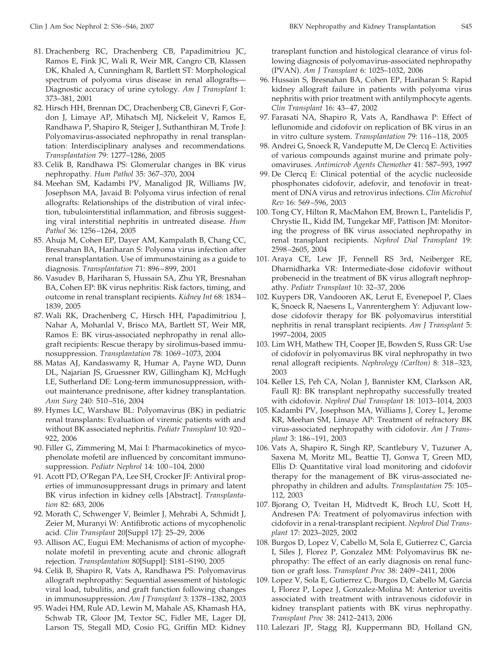- 81. Drachenberg RC, Drachenberg CB, Papadimitriou JC, Ramos E, Fink JC, Wali R, Weir MR, Cangro CB, Klassen DK, Khaled A, Cunningham R, Bartlett ST: Morphological spectrum of polyoma virus disease in renal allografts— Diagnostic accuracy of urine cytology. *Am J Transplant* 1: 373–381, 2001
- 82. Hirsch HH, Brennan DC, Drachenberg CB, Ginevri F, Gordon J, Limaye AP, Mihatsch MJ, Nickeleit V, Ramos E, Randhawa P, Shapiro R, Steiger J, Suthanthiran M, Trofe J: Polyomavirus-associated nephropathy in renal transplantation: Interdisciplinary analyses and recommendations. *Transplantation* 79: 1277–1286, 2005
- 83. Celik B, Randhawa PS: Glomerular changes in BK virus nephropathy. *Hum Pathol* 35: 367–370, 2004
- 84. Meehan SM, Kadambi PV, Manaligod JR, Williams JW, Josephson MA, Javaid B: Polyoma virus infection of renal allografts: Relationships of the distribution of viral infection, tubulointerstitial inflammation, and fibrosis suggesting viral interstitial nephritis in untreated disease. *Hum Pathol* 36: 1256 –1264, 2005
- 85. Ahuja M, Cohen EP, Dayer AM, Kampalath B, Chang CC, Bresnahan BA, Hariharan S: Polyoma virus infection after renal transplantation. Use of immunostaining as a guide to diagnosis. *Transplantation* 71: 896 – 899, 2001
- 86. Vasudev B, Hariharan S, Hussain SA, Zhu YR, Bresnahan BA, Cohen EP: BK virus nephritis: Risk factors, timing, and outcome in renal transplant recipients. *Kidney Int* 68: 1834 – 1839, 2005
- 87. Wali RK, Drachenberg C, Hirsch HH, Papadimitriou J, Nahar A, Mohanlal V, Brisco MA, Bartlett ST, Weir MR, Ramos E: BK virus-associated nephropathy in renal allograft recipients: Rescue therapy by sirolimus-based immunosuppression. *Transplantation* 78: 1069 –1073, 2004
- 88. Matas AJ, Kandaswamy R, Humar A, Payne WD, Dunn DL, Najarian JS, Gruessner RW, Gillingham KJ, McHugh LE, Sutherland DE: Long-term immunosuppression, without maintenance prednisone, after kidney transplantation. *Ann Surg* 240: 510 –516, 2004
- 89. Hymes LC, Warshaw BL: Polyomavirus (BK) in pediatric renal transplants: Evaluation of viremic patients with and without BK associated nephritis. *Pediatr Transplant* 10: 920 – 922, 2006
- 90. Filler G, Zimmering M, Mai I: Pharmacokinetics of mycophenolate mofetil are influenced by concomitant immunosuppression. *Pediatr Nephrol* 14: 100 –104, 2000
- 91. Acott PD, O'Regan PA, Lee SH, Crocker JF: Antiviral properties of immunosuppressant drugs in primary and latent BK virus infection in kidney cells [Abstract]. *Transplantation* 82: 683, 2006
- 92. Morath C, Schwenger V, Beimler J, Mehrabi A, Schmidt J, Zeier M, Muranyi W: Antifibrotic actions of mycophenolic acid. *Clin Transplant* 20[Suppl 17]: 25–29, 2006
- 93. Allison AC, Eugui EM: Mechanisms of action of mycophenolate mofetil in preventing acute and chronic allograft rejection. *Transplantation* 80[Suppl]: S181–S190, 2005
- 94. Celik B, Shapiro R, Vats A, Randhawa PS: Polyomavirus allograft nephropathy: Sequential assessment of histologic viral load, tubulitis, and graft function following changes in immunosuppression. *Am J Transplant* 3: 1378 –1382, 2003
- 95. Wadei HM, Rule AD, Lewin M, Mahale AS, Khamash HA, Schwab TR, Gloor JM, Textor SC, Fidler ME, Lager DJ, Larson TS, Stegall MD, Cosio FG, Griffin MD: Kidney

transplant function and histological clearance of virus following diagnosis of polyomavirus-associated nephropathy (PVAN). *Am J Transplant* 6: 1025–1032, 2006

- 96. Hussain S, Bresnahan BA, Cohen EP, Hariharan S: Rapid kidney allograft failure in patients with polyoma virus nephritis with prior treatment with antilymphocyte agents. *Clin Transplant* 16: 43– 47, 2002
- 97. Farasati NA, Shapiro R, Vats A, Randhawa P: Effect of leflunomide and cidofovir on replication of BK virus in an in vitro culture system. *Transplantation* 79: 116 –118, 2005
- 98. Andrei G, Snoeck R, Vandeputte M, De Clercq E: Activities of various compounds against murine and primate polyomaviruses. *Antimicrob Agents Chemother* 41: 587–593, 1997
- 99. De Clercq E: Clinical potential of the acyclic nucleoside phosphonates cidofovir, adefovir, and tenofovir in treatment of DNA virus and retrovirus infections. *Clin Microbiol Rev* 16: 569 –596, 2003
- 100. Tong CY, Hilton R, MacMahon EM, Brown L, Pantelidis P, Chrystie IL, Kidd IM, Tungekar MF, Pattison JM: Monitoring the progress of BK virus associated nephropathy in renal transplant recipients. *Nephrol Dial Transplant* 19: 2598 –2605, 2004
- 101. Araya CE, Lew JF, Fennell RS 3rd, Neiberger RE, Dharnidharka VR: Intermediate-dose cidofovir without probenecid in the treatment of BK virus allograft nephropathy. *Pediatr Transplant* 10: 32–37, 2006
- 102. Kuypers DR, Vandooren AK, Lerut E, Evenepoel P, Claes K, Snoeck R, Naesens L, Vanrenterghem Y: Adjuvant lowdose cidofovir therapy for BK polyomavirus interstitial nephritis in renal transplant recipients. *Am J Transplant* 5: 1997–2004, 2005
- 103. Lim WH, Mathew TH, Cooper JE, Bowden S, Russ GR: Use of cidofovir in polyomavirus BK viral nephropathy in two renal allograft recipients. *Nephrology (Carlton)* 8: 318 –323, 2003
- 104. Keller LS, Peh CA, Nolan J, Bannister KM, Clarkson AR, Faull RJ: BK transplant nephropathy successfully treated with cidofovir. *Nephrol Dial Transplant* 18: 1013–1014, 2003
- 105. Kadambi PV, Josephson MA, Williams J, Corey L, Jerome KR, Meehan SM, Limaye AP: Treatment of refractory BK virus-associated nephropathy with cidofovir. *Am J Transplant* 3: 186 –191, 2003
- 106. Vats A, Shapiro R, Singh RP, Scantlebury V, Tuzuner A, Saxena M, Moritz ML, Beattie TJ, Gonwa T, Green MD, Ellis D: Quantitative viral load monitoring and cidofovir therapy for the management of BK virus-associated nephropathy in children and adults. *Transplantation* 75: 105– 112, 2003
- 107. Bjorang O, Tveitan H, Midtvedt K, Broch LU, Scott H, Andresen PA: Treatment of polyomavirus infection with cidofovir in a renal-transplant recipient. *Nephrol Dial Transplant* 17: 2023–2025, 2002
- 108. Burgos D, Lopez V, Cabello M, Sola E, Gutierrez C, Garcia I, Siles J, Florez P, Gonzalez MM: Polyomavirus BK nephropathy: The effect of an early diagnosis on renal function or graft loss. *Transplant Proc* 38: 2409 –2411, 2006
- 109. Lopez V, Sola E, Gutierrez C, Burgos D, Cabello M, Garcia I, Florez P, Lopez J, Gonzalez-Molina M: Anterior uveitis associated with treatment with intravenous cidofovir in kidney transplant patients with BK virus nephropathy. *Transplant Proc* 38: 2412–2413, 2006
- 110. Lalezari JP, Stagg RJ, Kuppermann BD, Holland GN,